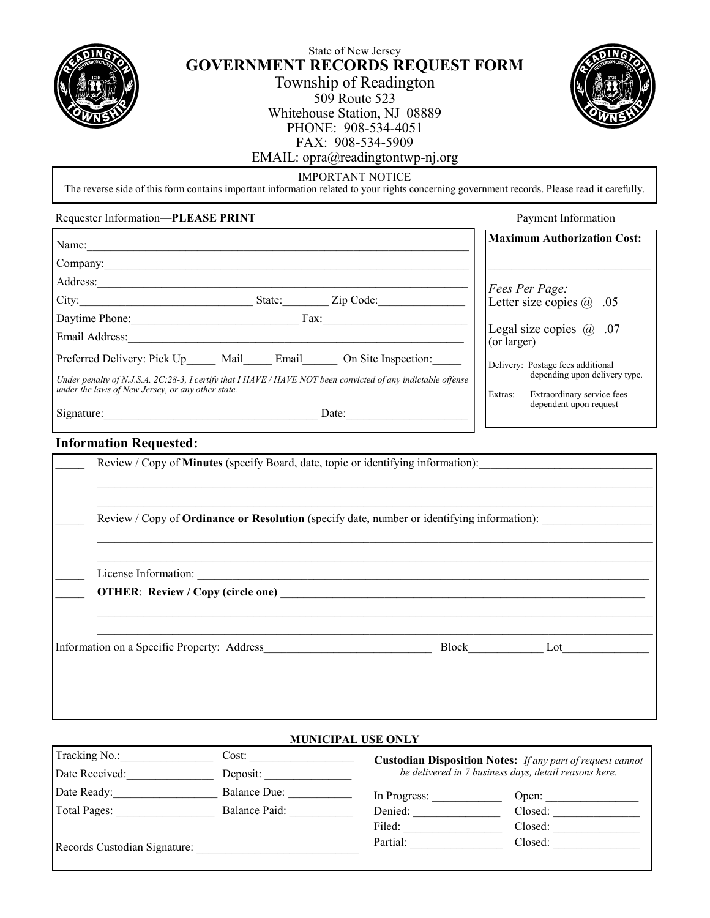

# State of New Jersey **GOVERNMENT RECORDS REQUEST FORM** Township of Readington

509 Route 523 Whitehouse Station, NJ 08889 PHONE: 908-534-4051 FAX: 908-534-5909 EMAIL: opra@readingtontwp-nj.org



Payment Information

## IMPORTANT NOTICE

The reverse side of this form contains important information related to your rights concerning government records. Please read it carefully.

#### Requester Information—**PLEASE PRINT**

| Name:                                                                                                                                                             |        |                     | <b>Maximum Authorization Cost:</b>                              |
|-------------------------------------------------------------------------------------------------------------------------------------------------------------------|--------|---------------------|-----------------------------------------------------------------|
| Company:                                                                                                                                                          |        |                     |                                                                 |
| Address:                                                                                                                                                          |        |                     | Fees Per Page:                                                  |
| City:                                                                                                                                                             | State: | Zip Code:           | Letter size copies $\omega$ .05                                 |
| Daytime Phone:                                                                                                                                                    | Fax:   |                     |                                                                 |
| Email Address:                                                                                                                                                    |        |                     | Legal size copies $@.07$<br>(or larger)                         |
| Preferred Delivery: Pick Up Mail Email                                                                                                                            |        | On Site Inspection: | Delivery: Postage fees additional                               |
| Under penalty of N.J.S.A. 2C:28-3, I certify that I HAVE / HAVE NOT been convicted of any indictable offense<br>under the laws of New Jersey, or any other state. |        |                     | depending upon delivery type.                                   |
| Signature:                                                                                                                                                        |        | Date:               | Extras:<br>Extraordinary service fees<br>dependent upon request |

## **Information Requested:**

| Review / Copy of <b>Minutes</b> (specify Board, date, topic or identifying information):           |           |
|----------------------------------------------------------------------------------------------------|-----------|
| Review / Copy of <b>Ordinance or Resolution</b> (specify date, number or identifying information): |           |
| <b>OTHER:</b> Review / Copy (circle one)                                                           |           |
|                                                                                                    | Block Lot |

## **MUNICIPAL USE ONLY**

| Tracking No.:<br>Cost:       |                     | <b>Custodian Disposition Notes:</b> If any part of request cannot |                                                       |  |
|------------------------------|---------------------|-------------------------------------------------------------------|-------------------------------------------------------|--|
| Date Received:               | Deposit:            |                                                                   | be delivered in 7 business days, detail reasons here. |  |
| Date Ready:                  | <b>Balance Due:</b> | In Progress:                                                      | Open:                                                 |  |
| Total Pages:                 | Balance Paid:       | Denied:                                                           | Closed:                                               |  |
|                              |                     | Filed:                                                            | Closed:                                               |  |
| Records Custodian Signature: |                     | Partial:                                                          | Closed:                                               |  |
|                              |                     |                                                                   |                                                       |  |